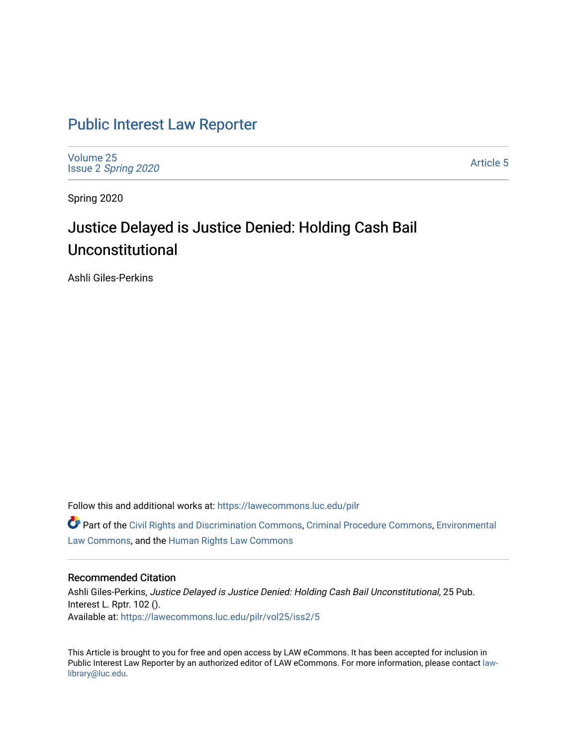## [Public Interest Law Reporter](https://lawecommons.luc.edu/pilr)

[Volume 25](https://lawecommons.luc.edu/pilr/vol25) Issue 2 [Spring 2020](https://lawecommons.luc.edu/pilr/vol25/iss2) 

[Article 5](https://lawecommons.luc.edu/pilr/vol25/iss2/5) 

Spring 2020

# Justice Delayed is Justice Denied: Holding Cash Bail Unconstitutional

Ashli Giles-Perkins

Follow this and additional works at: [https://lawecommons.luc.edu/pilr](https://lawecommons.luc.edu/pilr?utm_source=lawecommons.luc.edu%2Fpilr%2Fvol25%2Fiss2%2F5&utm_medium=PDF&utm_campaign=PDFCoverPages) 

Part of the [Civil Rights and Discrimination Commons,](http://network.bepress.com/hgg/discipline/585?utm_source=lawecommons.luc.edu%2Fpilr%2Fvol25%2Fiss2%2F5&utm_medium=PDF&utm_campaign=PDFCoverPages) [Criminal Procedure Commons,](http://network.bepress.com/hgg/discipline/1073?utm_source=lawecommons.luc.edu%2Fpilr%2Fvol25%2Fiss2%2F5&utm_medium=PDF&utm_campaign=PDFCoverPages) [Environmental](http://network.bepress.com/hgg/discipline/599?utm_source=lawecommons.luc.edu%2Fpilr%2Fvol25%2Fiss2%2F5&utm_medium=PDF&utm_campaign=PDFCoverPages)  [Law Commons,](http://network.bepress.com/hgg/discipline/599?utm_source=lawecommons.luc.edu%2Fpilr%2Fvol25%2Fiss2%2F5&utm_medium=PDF&utm_campaign=PDFCoverPages) and the [Human Rights Law Commons](http://network.bepress.com/hgg/discipline/847?utm_source=lawecommons.luc.edu%2Fpilr%2Fvol25%2Fiss2%2F5&utm_medium=PDF&utm_campaign=PDFCoverPages)

### Recommended Citation

Ashli Giles-Perkins, Justice Delayed is Justice Denied: Holding Cash Bail Unconstitutional, 25 Pub. Interest L. Rptr. 102 (). Available at: [https://lawecommons.luc.edu/pilr/vol25/iss2/5](https://lawecommons.luc.edu/pilr/vol25/iss2/5?utm_source=lawecommons.luc.edu%2Fpilr%2Fvol25%2Fiss2%2F5&utm_medium=PDF&utm_campaign=PDFCoverPages)

This Article is brought to you for free and open access by LAW eCommons. It has been accepted for inclusion in Public Interest Law Reporter by an authorized editor of LAW eCommons. For more information, please contact [law](mailto:law-library@luc.edu)[library@luc.edu.](mailto:law-library@luc.edu)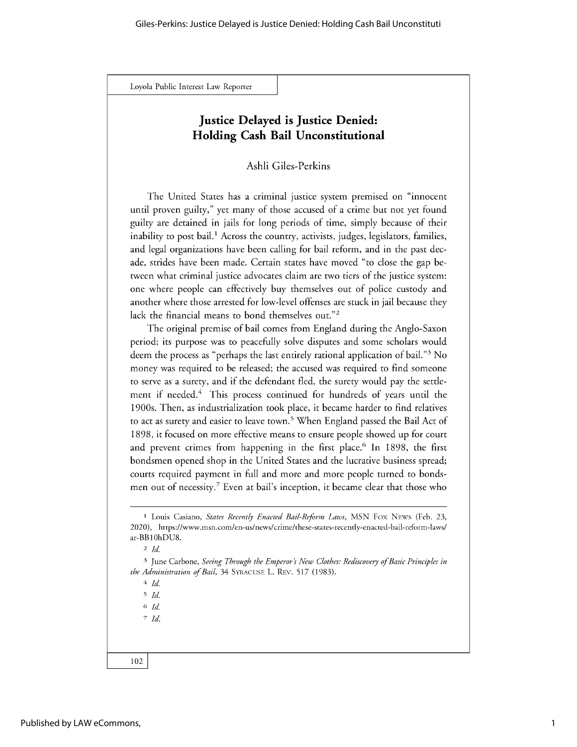### **Justice Delayed is Justice Denied: Holding Cash Bail Unconstitutional**

Ashli Giles-Perkins

The United States has a criminal justice system premised on "innocent until proven guilty," yet many of those accused of a crime but not yet found guilty are detained in jails for long periods of time, simply because of their inability to post bail.<sup>1</sup> Across the country, activists, judges, legislators, families, and legal organizations have been calling for bail reform, and in the past decade, strides have been made. Certain states have moved "to close the gap between what criminal justice advocates claim are two tiers of the justice system: one where people can effectively buy themselves out of police custody and another where those arrested for low-level offenses are stuck in jail because they lack the financial means to bond themselves out."2

The original premise of bail comes from England during the Anglo-Saxon period; its purpose was to peacefully solve disputes and some scholars would deem the process as "perhaps the last entirely rational application of bail."3 No money was required to be released; the accused was required to find someone to serve as a surety, and if the defendant fled, the surety would pay the settlement if needed.<sup>4</sup> This process continued for hundreds of years until the 1900s. Then, as industrialization took place, it became harder to find relatives to act as surety and easier to leave town.<sup>5</sup> When England passed the Bail Act of 1898, it focused on more effective means to ensure people showed up for court and prevent crimes from happening in the first place.<sup>6</sup> In 1898, the first bondsmen opened shop in the United States and the lucrative business spread; courts required payment in full and more and more people turned to bondsmen out of necessity.<sup>7</sup> Even at bail's inception, it became clear that those who

*4 Id*

*<sup>5</sup>Id*

*<sup>6</sup>Id 7 Id.*

**<sup>1</sup>**Louis Casiano, *States Recently Enacted Bail-Reform Laws,* MSN Fox NEws (Feb. 23, 2020), https://www.msn.com/en-us/news/crime/these-states-recently-enacted-bail-reform-laws/ ar-BB 1 OhDU8.

*<sup>2</sup> Id.*

<sup>3</sup> June Carbone, *Seeing Through the Emperor's New Clothes: Rediscovery of Basic Principles in the Administration of Bail,* 34 **SYRACUSE** L. REv. 517 (1983).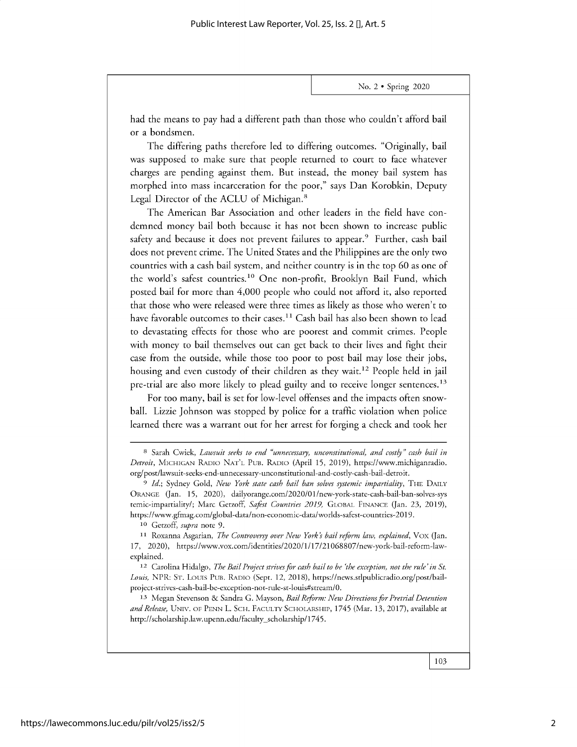had the means to pay had a different path than those who couldn't afford bail or a bondsmen.

The differing paths therefore led to differing outcomes. "Originally, bail was supposed to make sure that people returned to court to face whatever charges are pending against them. But instead, the money bail system has morphed into mass incarceration for the poor," says Dan Korobkin, Deputy Legal Director of the ACLU of Michigan.<sup>8</sup>

The American Bar Association and other leaders in the field have condemned money bail both because it has not been shown to increase public safety and because it does not prevent failures to appear.<sup>9</sup> Further, cash bail does not prevent crime. The United States and the Philippines are the only two countries with a cash bail system, and neither country is in the top 60 as one of the world's safest countries.<sup>10</sup> One non-profit, Brooklyn Bail Fund, which posted bail for more than 4,000 people who could not afford it, also reported that those who were released were three times as likely as those who weren't to have favorable outcomes to their cases.<sup>11</sup> Cash bail has also been shown to lead to devastating effects for those who are poorest and commit crimes. People with money to bail themselves out can get back to their lives and fight their case from the outside, while those too poor to post bail may lose their jobs, housing and even custody of their children as they wait.<sup>12</sup> People held in jail pre-trial are also more likely to plead guilty and to receive longer sentences.<sup>13</sup>

For too many, bail is set for low-level offenses and the impacts often snowball. Lizzie Johnson was stopped by police for a traffic violation when police learned there was a warrant out for her arrest for forging a check and took her

**<sup>10</sup>**Getzoff, *supra* note 9.

**<sup>8</sup>**Sarah Cwiek, *Lawsuit seeks to end "unnecessary, unconstitutional, and costly" cash bail in Detroit,* MICHIGAN RADIo NAT'L Pus. RADIO (April 15, 2019), https://www.michiganradio. org/post/lawsuit-seeks-end-unnecessary-unconstitutional-and-costly-cash-bail-detroit.

*<sup>9</sup> Id.;* Sydney Gold, *New York state cash bail ban solves systemic impartiality,* THE DAILY ORANGE (Jan. 15, 2020), dailyorange.com/2020/01/new-york-state-cash-bail-ban-solves-sys temic-impartiality/; Marc Getzoff, Safest Countries 2019, GLOBAL FINANCE (Jan. 23, 2019), https://www.gfmag.com/global-data/non-economic-data/worlds-safest-countries-2019.

**<sup>11</sup>**Roxanna Asgarian, *The Controversy over New York's bail reform law, explained,* Vox (Jan. 17, 2020), https://www.vox.com/identities/2020/1/17/21068807/new-york-bail-reform-lawexplained.

**<sup>12</sup>**Carolina Hidalgo, *The Bail Project strives for cash bail to be 'the exception, not the rule' in St. Louis,* NPR: ST. Louis Pus. RADIO (Sept. 12, 2018), https://news.stlpublicradio.org/post/bailproject-strives-cash-bail-be-exception-not-rule-st-louis#stream/0.

**<sup>13</sup>**Megan Stevenson & Sandra G. Mayson, *Bail Reform: New Directions for Pretrial Detention and Release,* UNIV. OF PENN L. SCH. FACULTY SCHOLARSHIP, 1745 (Mar. 13, 2017), available at http://scholarship.law.upenn.edu/faculty-scholarship/1745.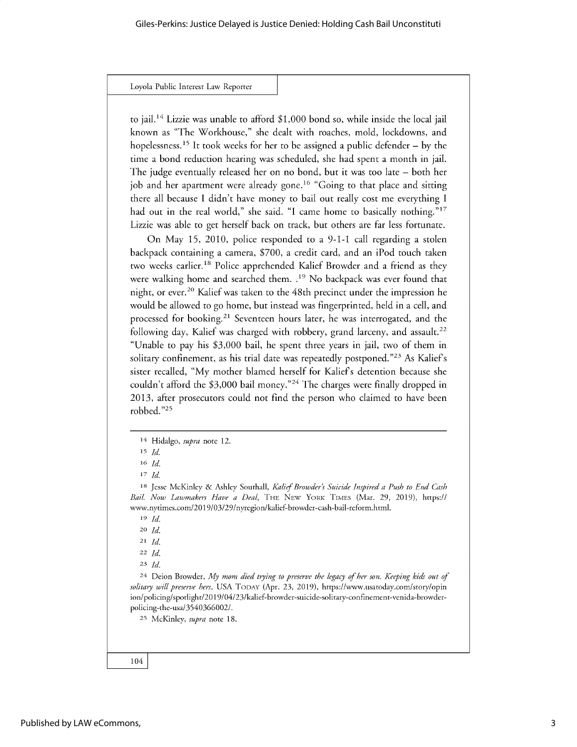to jail.<sup>14</sup> Lizzie was unable to afford \$1,000 bond so, while inside the local jail known as "The Workhouse," she dealt with roaches, mold, lockdowns, and hopelessness.<sup>15</sup> It took weeks for her to be assigned a public defender  $-$  by the time a bond reduction hearing was scheduled, she had spent a month in jail. The judge eventually released her on no bond, but it was too late - both her job and her apartment were already gone.<sup>16</sup> "Going to that place and sitting there all because I didn't have money to bail out really cost me everything I had out in the real world," she said. "I came home to basically nothing."<sup>17</sup> Lizzie was able to get herself back on track, but others are far less fortunate.

On May *15,* 2010, police responded to a 9-1-1 call regarding a stolen backpack containing a camera, \$700, a credit card, and an iPod touch taken two weeks earlier.<sup>18</sup> Police apprehended Kalief Browder and a friend as they were walking home and searched them. **.19** No backpack was ever found that night, or ever.<sup>20</sup> Kalief was taken to the 48th precinct under the impression he would be allowed to go home, but instead was fingerprinted, held in a cell, and processed for booking.<sup>21</sup> Seventeen hours later, he was interrogated, and the following day, Kalief was charged with robbery, grand larceny, and assault.<sup>22</sup> "Unable to pay his \$3,000 bail, he spent three years in jail, two of them in solitary confinement, as his trial date was repeatedly postponed."<sup>23</sup> As Kalief's sister recalled, "My mother blamed herself for Kaliefs detention because she couldn't afford the \$3,000 bail money."<sup>24</sup> The charges were finally dropped in 2013, after prosecutors could not find the person who claimed to have been robbed. **"25**

**<sup>24</sup>**Deion Browder, *My mom died trying to preserve the legacy of her son. Keeping kids out of solitary will preserve hers,* USA **TODAY** (Apr. 23, 2019), https://www.usatoday.com/story/opin ion/policing/spotlight/2019/04/23/kalief-browder-suicide-solitary-confinement-venida-browderpolicing-the-usa/3540366002/.

**25** McKinley, *supra* note 18.

**<sup>14</sup>**Hidalgo, *supra* note 12.

**<sup>15</sup>***Id*

**<sup>16</sup>***Id.*

*<sup>17</sup> Id*

**<sup>18</sup>**Jesse McKinley & Ashley Southall, *Kalief Browder's Suicide Inspired a Push to End Cash Bail. Now Lawmakers Have a Deal,* **THE NEw YORK TIMES** (Mar. 29, 2019), https:// www.nytimes.com/2019/03/29/nyregion/kalief-browder-cash-bail-reform.html.

**<sup>19</sup>** *Id.*

**<sup>20</sup>** *Id.*

**<sup>21</sup>***Id.*

**<sup>22</sup>***Id.*

**<sup>23</sup>***Id.*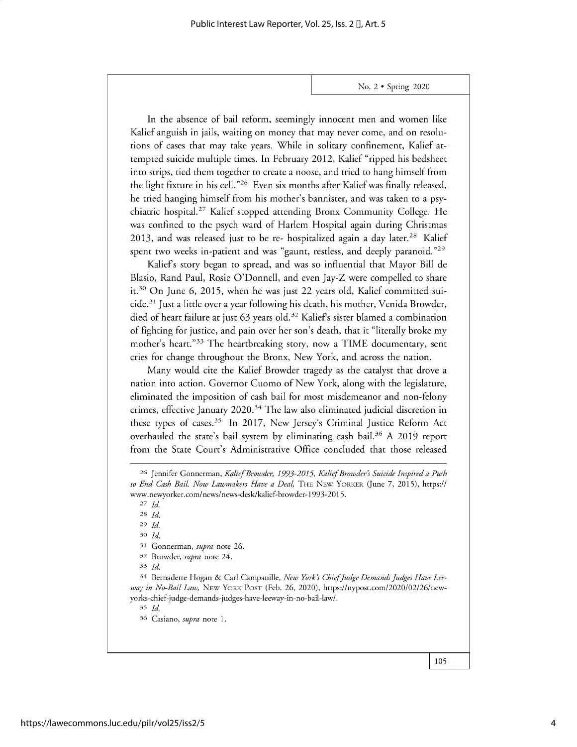In the absence of bail reform, seemingly innocent men and women like Kalief anguish in jails, waiting on money that may never come, and on resolutions of cases that may take years. While in solitary confinement, Kalief attempted suicide multiple times. In February 2012, Kalief "ripped his bedsheet into strips, tied them together to create a noose, and tried to hang himself from the light fixture in his cell."<sup>26</sup> Even six months after Kalief was finally released, he tried hanging himself from his mother's bannister, and was taken to a psychiatric hospital.<sup>27</sup> Kalief stopped attending Bronx Community College. He was confined to the psych ward of Harlem Hospital again during Christmas 2013, and was released just to be re- hospitalized again a day later.<sup>28</sup> Kalief spent two weeks in-patient and was "gaunt, restless, and deeply paranoid."<sup>29</sup>

Kalief's story began to spread, and was so influential that Mayor Bill de Blasio, Rand Paul, Rosie O'Donnell, and even Jay-Z were compelled to share **it.30** On June 6, 2015, when he was just 22 years old, Kalief committed suicide.<sup>31</sup> Just a little over a year following his death, his mother, Venida Browder, died of heart failure at just 63 years old.<sup>32</sup> Kalief's sister blamed a combination of fighting for justice, and pain over her son's death, that it "literally broke my mother's heart."<sup>33</sup> The heartbreaking story, now a TIME documentary, sent cries for change throughout the Bronx, New York, and across the nation.

Many would cite the Kalief Browder tragedy as the catalyst that drove a nation into action. Governor Cuomo of New York, along with the legislature, eliminated the imposition of cash bail for most misdemeanor and non-felony crimes, effective January 2020.<sup>34</sup> The law also eliminated judicial discretion in these types of cases.<sup>35</sup> In 2017, New Jersey's Criminal Justice Reform Act overhauled the state's bail system by eliminating cash **bail. <sup>36</sup>**A 2019 report from the State Court's Administrative Office concluded that those released

*27 Id.*

**28** *Id.*

**29** *Id*

**30** *Id.*

**31** Gonnerman, *supra* note 26.

**<sup>32</sup>**Browder, *supra* note 24.

33 *Id.*

34 Bernadette Hogan & Carl Campanille, *New York's Chiefjudge Demands Judges Have Leeway in No-Bail Law,* **NEw YORK POST** (Feb. 26, 2020), *https://nypost.com/2020/02/26/new*yorks-chief-judge-demands-judges-have-leeway-in-no-bail-law/.

35 *Id*

**36** Casiano, *supra* note 1.

**<sup>26</sup>**Jennifer Gonnerman, *Kalief Browder, 1993-2015, Kalief Browder's Suicide Inspired a Push to End Cash Bail. Now Lawmakers Have a Deal,* **THE NEw YORKER** (June 7, 2015), *https://* www.newyorker.com/news/news-desk/kalief-browder-1993-2015.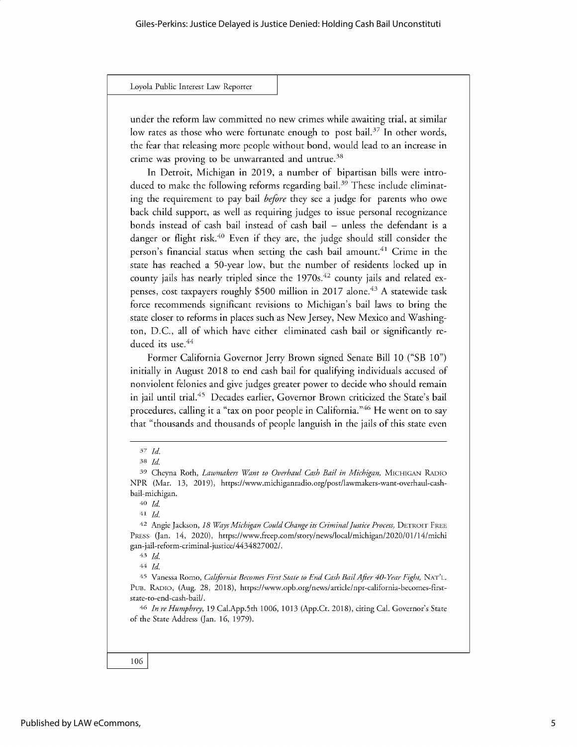under the reform law committed no new crimes while awaiting trial, at similar low rates as those who were fortunate enough to post bail.<sup>37</sup> In other words, the fear that releasing more people without bond, would lead to an increase in crime was proving to be unwarranted and untrue.<sup>38</sup>

In Detroit, Michigan in 2019, a number of bipartisan bills were introduced to make the following reforms regarding bail.<sup>39</sup> These include eliminating the requirement to pay bail *before* they see a judge for parents who owe back child support, as well as requiring judges to issue personal recognizance bonds instead of cash bail instead of cash bail - unless the defendant is a danger or flight risk.<sup>40</sup> Even if they are, the judge should still consider the person's financial status when setting the cash bail amount.<sup>41</sup> Crime in the state has reached a 50-year low, but the number of residents locked up in county jails has nearly tripled since the  $1970s<sup>42</sup>$  county jails and related expenses, cost taxpayers roughly \$500 million in 2017 alone.<sup>43</sup> A statewide task force recommends significant revisions to Michigan's bail laws to bring the state closer to reforms in places such as New Jersey, New Mexico and Washington, D.C., all of which have either eliminated cash bail or significantly reduced its use.<sup>44</sup>

Former California Governor Jerry Brown signed Senate Bill 10 ("SB 10") initially in August 2018 to end cash bail for qualifying individuals accused of nonviolent felonies and give judges greater power to decide who should remain in jail until trial.45 Decades earlier, Governor Brown criticized the State's bail procedures, calling it a "tax on poor people in California."<sup>46</sup> He went on to say that "thousands and thousands of people languish in the jails of this state even

46 *In re Humphrey,* 19 Cal.App.5th 1006, 1013 (App.Ct. 2018), citing Cal. Governor's State of the State Address (Jan. 16, 1979).

*<sup>37</sup> Id.*

**<sup>38</sup>***Id*

<sup>39</sup> Cheyna Roth, *Lawmakers Want to Overhaul Cash Bail in Michigan,* MICHIGAN RADIO NPR (Mar. 13, 2019), https://www.michiganradio.org/post/lawmakers-want-overhaul-cashbail-michigan.

<sup>40</sup> *Id*

**<sup>41</sup>** *Id*

<sup>42</sup> Angie Jackson, *18 Ways Michigan Could Change its Criminal Justice Process,* DETROIT FREE PREss (Jan. 14, 2020), https://www.freep.com/story/news/local/michigan/2020/01/14/michi gan-jail-reform-criminal-justice/4434827002/.

**<sup>43</sup>***Id*

<sup>44</sup> *Id*

<sup>45</sup> Vanessa Romo, *California Becomes First State to End Cash Bail After 40-Year Fight,* NAT'L. Pus. RADIO, (Aug. 28, 2018), https://www.opb.org/news/article/npr-california-becomes-firststate-to-end-cash-bail/.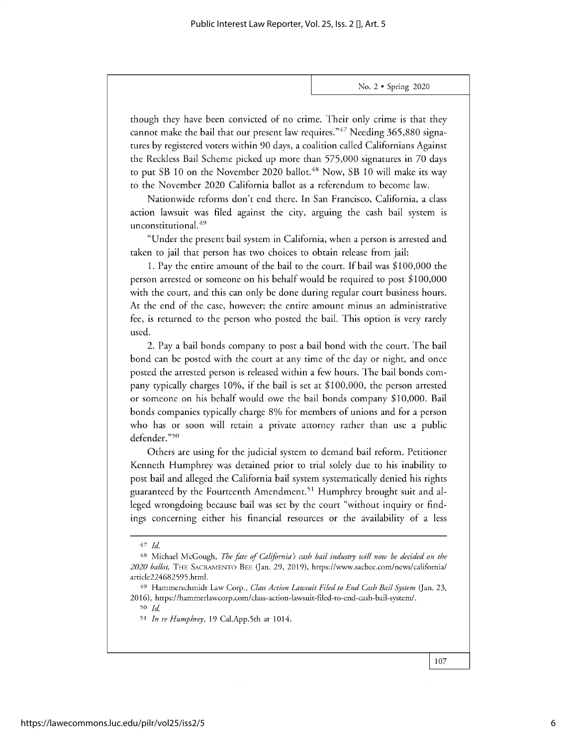**though they have been convicted of no crime. Their only crime is that they cannot make the bail that our present law requires."47 Needing 365,880 signatures by registered voters within 90 days, a coalition called Californians Against the Reckless Bail Scheme picked up more than** *575,000* **signatures in 70 days** to put SB 10 on the November 2020 ballot.<sup>48</sup> Now, SB 10 will make its way **to the November 2020 California ballot as a referendum to become law.**

**Nationwide reforms don't end there. In San Francisco, California, a class action lawsuit was filed against the city, arguing the cash bail system is unconstitutional.<sup>4</sup> <sup>9</sup>**

**"Under the present bail system in California, when a person is arrested and taken to jail that person has two choices to obtain release from jail:**

**1. Pay the entire amount of the bail to the court. If bail was \$100,000 the person arrested or someone on his behalf would be required to post \$100,000 with the court, and this can only be done during regular court business hours. At the end of the case, however; the entire amount minus an administrative fee, is returned to the person who posted the bail. This option is very rarely used.**

2. Pay **a bail bonds company to post a bail bond with the court. The bail bond can be posted with the court at any time of the day or night, and once posted the arrested person is released within a few hours. The bail bonds company** typically **charges 10%, if the bail is set at \$100,000, the person arrested or someone on his behalf would owe the bail bonds company \$10,000. Bail bonds companies** typically **charge 8% for members of unions and for a person who has or soon will retain a private attorney rather than use a public** defender."<sup>50</sup>

**Others are using for the judicial system to demand bail reform. Petitioner Kenneth Humphrey was detained prior to trial solely due to his inability to post bail and alleged the California bail system systematically denied his rights** guaranteed by the Fourteenth Amendment.<sup>51</sup> Humphrey brought suit and al**leged wrongdoing because bail was set by the court "without inquiry or findings concerning either his financial resources or the availability of a less**

<sup>50</sup>*Id*

*<sup>47</sup> Id.*

**<sup>48</sup>Michael McGough,** *The fate of California's cash bail industry will now be decided on the 2020 ballot,* THE SACRAMENTO **BEE (Jan. 29, 2019), https://www.sacbee.com/news/california/ article22<sup>4</sup> 682595.html.**

**<sup>49</sup> Hammerschmidt** Law Corp., *Class Action Lawsuit Filed to End Cash Bail System* **(Jan. 23, 2016), https://hammerlawcorp.com/class-action-lawsuit-filed-to-end-cash-bail-system/.**

**<sup>51</sup>***In re Humphrey,* 19 Cal.App.5th **at 1014.**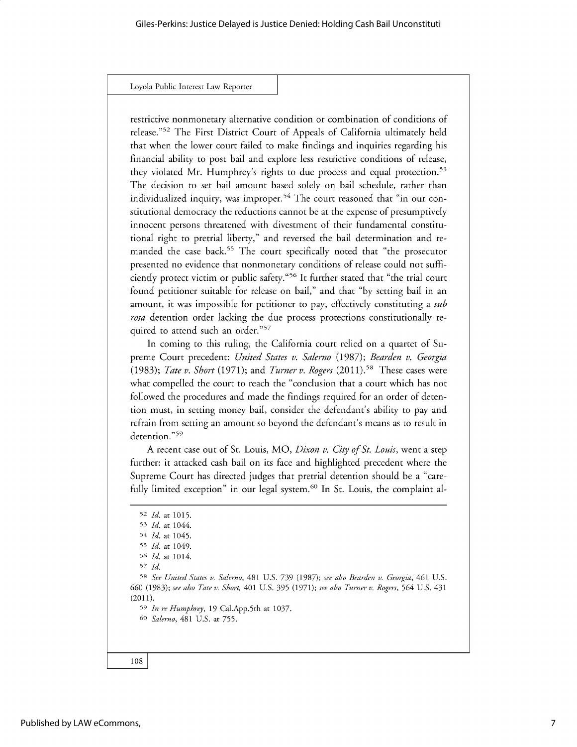restrictive nonmonetary alternative condition or combination of conditions of release."<sup>52</sup> The First District Court of Appeals of California ultimately held that when the lower court failed to make findings and inquiries regarding his financial ability to post bail and explore less restrictive conditions of release, they violated Mr. Humphrey's rights to due process and equal protection.<sup>53</sup> The decision to set bail amount based solely on bail schedule, rather than individualized inquiry, was improper.<sup>54</sup> The court reasoned that "in our constitutional democracy the reductions cannot be at the expense of presumptively innocent persons threatened with divestment of their fundamental constitutional right to pretrial liberty," and reversed the bail determination and remanded the case back.<sup>55</sup> The court specifically noted that "the prosecutor presented no evidence that nonmonetary conditions of release could not sufficiently protect victim or public safety.<sup>"56</sup> It further stated that "the trial court found petitioner suitable for release on bail," and that "by setting bail in an amount, it was impossible for petitioner to pay, effectively constituting *a sub rosa* detention order lacking the due process protections constitutionally required to attend such an order."<sup>57</sup>

In coming to this ruling, the California court relied on a quartet of Supreme Court precedent: *United States v. Salerno* (1987); *Bearden v. Georgia* (1983); *Tate v. Short* (1971); and *Turner v. Rogers* (2011).58 These cases were what compelled the court to reach the "conclusion that a court which has not followed the procedures and made the findings required for an order of detention must, in setting money bail, consider the defendant's ability to pay and refrain from setting an amount so beyond the defendant's means as to result in detention."59

A recent case out of St. Louis, MO, *Dixon v. City of St. Louis,* went a step further: it attacked cash bail on its face and highlighted precedent where the Supreme Court has directed judges that pretrial detention should be a "carefully limited exception" in our legal system.<sup>60</sup> In St. Louis, the complaint al-

<sup>52</sup> *Id.* at 1015. 53 *Id.* at 1044. 54 *Id.* at 1045. 55 *Id.* at 1049. <sup>5</sup>*Id.* at 1014. *57 Id.* 58 *See United States v. Salerno,* 481 U.S. *739* (1987); *see also Bearden v. Georgia,* 461 U.S. 660 (1983); *see also Tate v. Short,* 401 U.S. 395 (1971); *see also Turner v. Rogers,* 564 U.S. 431 (2011). <sup>59</sup>*In re Humphrey,* 19 Cal.App.Sth at 1037. *60 Salerno,* 481 U.S. at 755.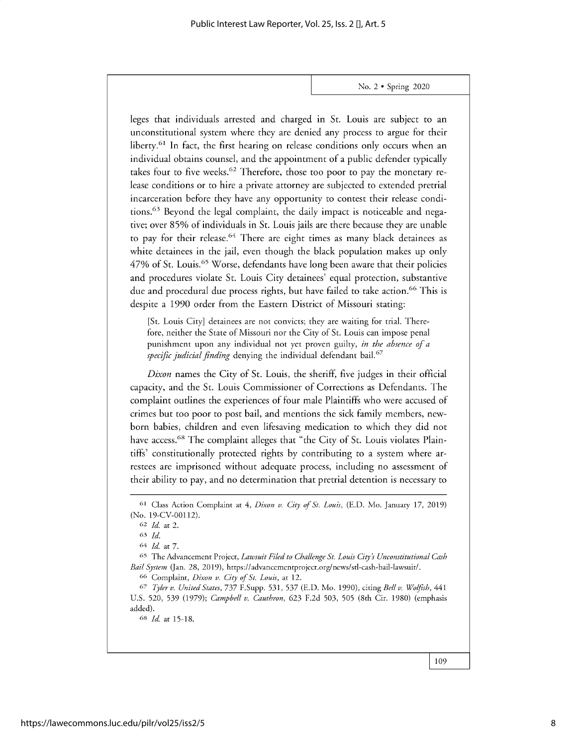leges that individuals arrested and charged in St. Louis are subject to an unconstitutional system where they are denied any process to argue for their liberty.<sup>61</sup> In fact, the first hearing on release conditions only occurs when an individual obtains counsel, and the appointment of a public defender typically takes four to five weeks.<sup>62</sup> Therefore, those too poor to pay the monetary release conditions or to hire a private attorney are subjected to extended pretrial incarceration before they have any opportunity to contest their release conditions.<sup>63</sup> Beyond the legal complaint, the daily impact is noticeable and negative; over 85% of individuals in St. Louis jails are there because they are unable to pay for their release.<sup>64</sup> There are eight times as many black detainees as white detainees in the jail, even though the black population makes up only 47% of St. Louis.<sup>65</sup> Worse, defendants have long been aware that their policies and procedures violate St. Louis City detainees' equal protection, substantive due and procedural due process rights, but have failed to take action.<sup>66</sup> This is despite a 1990 order from the Eastern District of Missouri stating:

[St. Louis City] detainees are not convicts; they are waiting for trial. Therefore, neither the State of Missouri nor the City of St. Louis can impose penal punishment upon any individual not yet proven guilty, *in the absence of a specific judicial finding* denying the individual defendant bail.<sup>67</sup>

*Dixon* names the City of St. Louis, the sheriff, five judges in their official capacity, and the St. Louis Commissioner of Corrections as Defendants. The complaint outlines the experiences of four male Plaintiffs who were accused of crimes but too poor to post bail, and mentions the sick family members, newborn babies, children and even lifesaving medication to which they did not have access.<sup>68</sup> The complaint alleges that "the City of St. Louis violates Plaintiffs' constitutionally protected rights by contributing to a system where arrestees are imprisoned without adequate process, including no assessment of their ability to pay, and no determination that pretrial detention is necessary to

**<sup>66</sup>**Complaint, *Dixon v. City of St. Louis,* at 12.

*67 Tyler v. United States,* 737 F.Supp. 531, 537 (E.D. Mo. 1990), citing *Bell v. Wolfish, 441* U.S. 520, *539 (1979); Campbell v. Cauthron,* 623 F.2d 503, 505 (8th Cir. 1980) (emphasis added).

**68** *Id.* at 15-18.

**<sup>61</sup>**Class Action Complaint at *4, Dixon v. City of St. Louis,* (E.D. Mo. January 17, 2019) (No. 19-CV-00112).

**<sup>62</sup>** *Id. at* 2.

<sup>63</sup> *Id.*

<sup>64</sup> *Id at 7.*

**<sup>65</sup>**The Advancement Project, *Lawsuit Filed to Challenge St. Louis City s Unconstitutional Cash Bail System* (Jan. 28, 2019), https://advancementproject.org/news/stl-cash-bail-lawsuit/.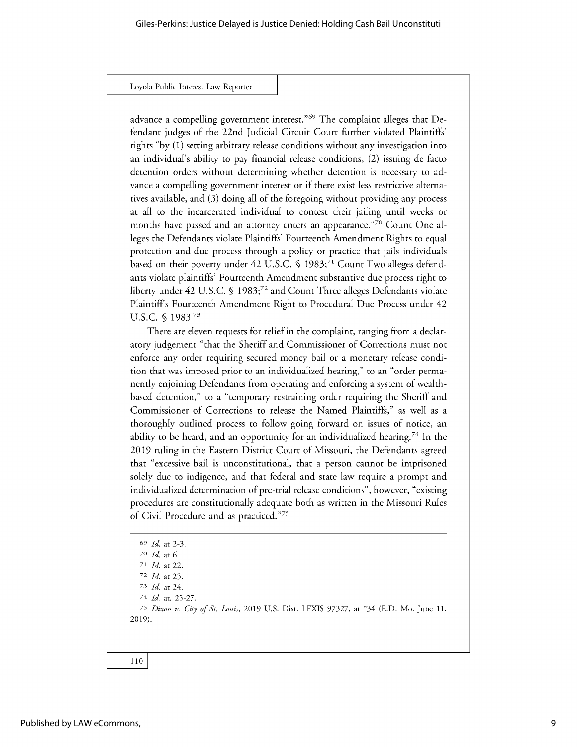advance a compelling government interest."<sup>69</sup> The complaint alleges that Defendant judges of the 22nd Judicial Circuit Court further violated Plaintiffs' rights "by (1) setting arbitrary release conditions without any investigation into an individual's ability to pay financial release conditions, (2) issuing de facto detention orders without determining whether detention is necessary to advance a compelling government interest or if there exist less restrictive alternatives available, and (3) doing all of the foregoing without providing any process at all to the incarcerated individual to contest their jailing until weeks or months have passed and an attorney enters an appearance."<sup>70</sup> Count One alleges the Defendants violate Plaintiffs' Fourteenth Amendment Rights to equal protection and due process through a policy or practice that jails individuals based on their poverty under 42 U.S.C. § 1983;<sup>71</sup> Count Two alleges defendants violate plaintiffs' Fourteenth Amendment substantive due process right to liberty under 42 U.S.C. § 1983;<sup>72</sup> and Count Three alleges Defendants violate Plaintiffs Fourteenth Amendment Right to Procedural Due Process under 42 U.S.C. § 1983.73

There are eleven requests for relief in the complaint, ranging from a declaratory judgement "that the Sheriff and Commissioner of Corrections must not enforce any order requiring secured money bail or a monetary release condition that was imposed prior to an individualized hearing," to an "order permanently enjoining Defendants from operating and enforcing a system of wealthbased detention," to a "temporary restraining order requiring the Sheriff and Commissioner of Corrections to release the Named Plaintiffs," as well as a thoroughly outlined process to follow going forward on issues of notice, an ability to be heard, and an opportunity for an individualized hearing.<sup>74</sup> In the 2019 ruling in the Eastern District Court of Missouri, the Defendants agreed that "excessive bail is unconstitutional, that a person cannot be imprisoned solely due to indigence, and that federal and state law require a prompt and individualized determination of pre-trial release conditions", however, "existing procedures are constitutionally adequate both as written in the Missouri Rules of Civil Procedure and as practiced."<sup>75</sup>

```
69 Id. at 2-3.
  70 Id. at 6.
  71 Id. at 22.
  72 Id. at 23.
  73 Id. at 24.
  74 Id. at. 25-27.
  75 Dixon v. City of St. Louis, 2019 U.S. Dist. LEXIS 97327, at *34 (E.D. Mo. June 11,
2019).
```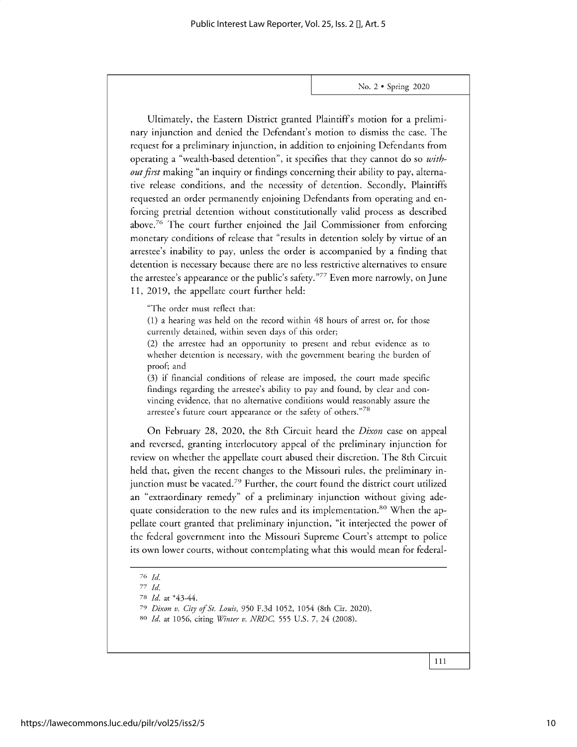Ultimately, the Eastern District granted Plaintiffs motion for a preliminary injunction and denied the Defendant's motion to dismiss the case. The request for a preliminary injunction, in addition to enjoining Defendants from operating a "wealth-based detention", it specifies that they cannot do so *without first* making "an inquiry or findings concerning their ability to pay, alternative release conditions, and the necessity of detention. Secondly, Plaintiffs requested an order permanently enjoining Defendants from operating and enforcing pretrial detention without constitutionally valid process as described above.<sup>76</sup> The court further enjoined the Jail Commissioner from enforcing monetary conditions of release that "results in detention solely by virtue of an arrestee's inability to pay, unless the order is accompanied by a finding that detention is necessary because there are no less restrictive alternatives to ensure the arrestee's appearance or the public's safety. $\frac{377}{2}$  Even more narrowly, on June 11, 2019, the appellate court further held:

"The order must reflect that:

(1) a hearing was held on the record within 48 hours of arrest or, for those currently detained, within seven days of this order;

(2) the arrestee had an opportunity to present and rebut evidence as to whether detention is necessary, with the government bearing the burden of proof; and

(3) if financial conditions of release are imposed, the court made specific findings regarding the arrestee's ability to pay and found, by clear and convincing evidence, that no alternative conditions would reasonably assure the arrestee's future court appearance or the safety of others."<sup>78</sup>

On February 28, 2020, the 8th Circuit heard the *Dixon* case on appeal and reversed, granting interlocutory appeal of the preliminary injunction for review on whether the appellate court abused their discretion. The 8th Circuit held that, given the recent changes to the Missouri rules, the preliminary injunction must be vacated.<sup>79</sup> Further, the court found the district court utilized an "extraordinary remedy" of a preliminary injunction without giving adequate consideration to the new rules and its implementation.<sup>80</sup> When the appellate court granted that preliminary injunction, "it interjected the power of the federal government into the Missouri Supreme Court's attempt to police its own lower courts, without contemplating what this would mean for federal-

**<sup>76</sup>***Id.*

*<sup>77</sup> Id.*

<sup>78</sup> *Id. at \*43-44.*

<sup>79</sup> *Dixon v. City ofSt. Louis,* 950 F.3d 1052, 1054 (8th Cir. 2020).

<sup>80</sup>*Id. at* 1056, citing *Winter v. NRDC,* 555 U.S. 7, 24 (2008).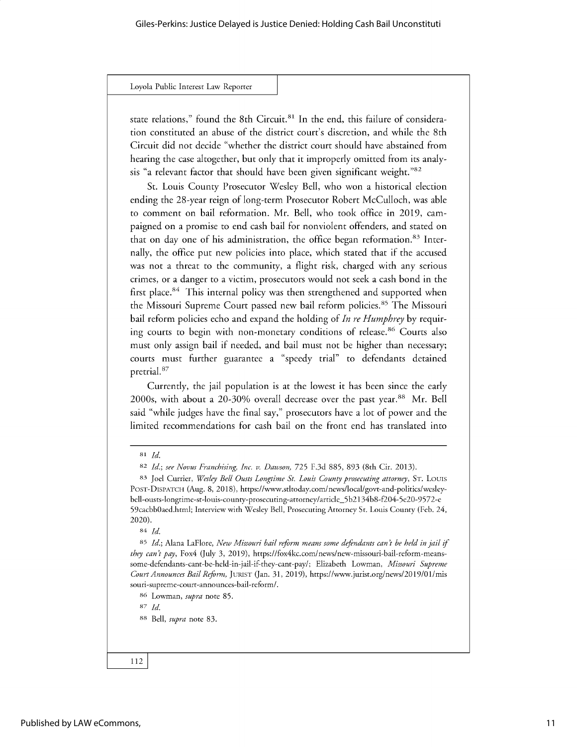state relations," found the 8th Circuit.<sup>81</sup> In the end, this failure of consideration constituted an abuse of the district court's discretion, and while the 8th Circuit did not decide "whether the district court should have abstained from hearing the case altogether, but only that it improperly omitted from its analysis "a relevant factor that should have been given significant weight."<sup>82</sup>

St. Louis County Prosecutor Wesley Bell, who won a historical election ending the 28-year reign of long-term Prosecutor Robert McCulloch, was able to comment on bail reformation. Mr. Bell, who took office in 2019, campaigned on a promise to end cash bail for nonviolent offenders, and stated on that on day one of his administration, the office began reformation.<sup>83</sup> Internally, the office put new policies into place, which stated that if the accused was not a threat to the community, a flight risk, charged with any serious crimes, or a danger to a victim, prosecutors would not seek a cash bond in the first place. $84$  This internal policy was then strengthened and supported when the Missouri Supreme Court passed new bail reform policies.<sup>85</sup> The Missouri bail reform policies echo and expand the holding of *In re Humphrey by* requiring courts to begin with non-monetary conditions of release.<sup>86</sup> Courts also must only assign bail if needed, and bail must not be higher than necessary; courts must further guarantee a "speedy trial" to defendants detained pretrial. 87

Currently, the jail population is at the lowest it has been since the early 2000s, with about a 20-30% overall decrease over the past year.<sup>88</sup> Mr. Bell said "while judges have the final say," prosecutors have a lot of power and the limited recommendations for cash bail on the front end has translated into

**<sup>83</sup>**Joel Currier, *Wesley Bell Ousts Longtime St. Louis County prosecuting attorney,* ST. Louis **POST-DISPATCH** (Aug. 8, 2018), https://www.stltoday.com/news/local/govt-and-politics/wesleybell-ousts-longtime-st-louis-county-prosecuting-attorney/article\_5b2134b8-f204-5e20-9572-e 59cacbb0aed.html; Interview with Wesley Bell, Prosecuting Attorney St. Louis County (Feb. 24, 2020).

**84** *Id.*

**<sup>85</sup>***Id.;* Alana LaFlore, *New Missouri bail reform means some defendants can't be held in jail if they can't pay,* Fox4 (July 3, 2019), https://fox4kc.com/news/new-missouri-bail-reform-meanssome-defendants-cant-be-held-in-jail-if-they-cant-pay/; Elizabeth Lowman, *Missouri Supreme Court Announces Bail Reform,* **JURIST** (Jan. 31, 2019), https://www.jurist.org/news/2019/01/mis souri-supreme-court-announces-bail-reform/.

**<sup>86</sup>**Lowman, *supra* note 85.

**87** *Id.*

**<sup>81</sup>***Id.*

*<sup>82</sup> Id.; see Novus Franchising, Inc. v. Dawson,* 725 F.3d 885, 893 (8th Cir. 2013).

**<sup>88</sup>** Bell, *supra* note 83.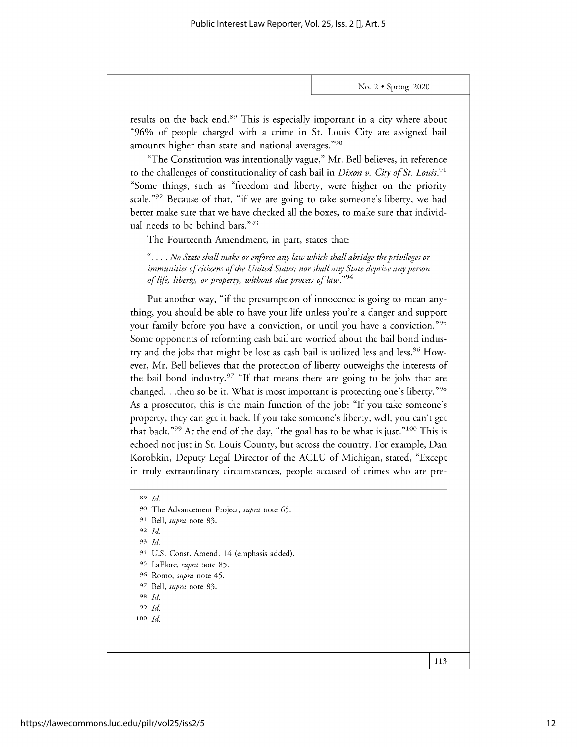results on the back end.<sup>89</sup> This is especially important in a city where about "96% of people charged with a crime in St. Louis City are assigned bail amounts higher than state and national averages."90

"The Constitution was intentionally vague," Mr. Bell believes, in reference to the challenges of constitutionality of cash bail in *Dixon v. City of St. Louis.<sup>91</sup>* "Some things, such as "freedom and liberty, were higher on the priority scale."<sup>92</sup> Because of that, "if we are going to take someone's liberty, we had better make sure that we have checked all the boxes, to make sure that individual needs to be behind bars."93

The Fourteenth Amendment, in part, states that:

*".... No State shall make or enforce any law which shall abridge the privileges or immunities of citizens of the United States; nor shall any State deprive any person of life, liberty, or property, without due process of law."9 4*

Put another way, "if the presumption of innocence is going to mean anything, you should be able to have your life unless you're a danger and support your family before you have a conviction, or until you have a conviction."<sup>95</sup> Some opponents of reforming cash bail are worried about the bail bond industry and the jobs that might be lost as cash bail is utilized less and less.<sup>96</sup> However, Mr. Bell believes that the protection of liberty outweighs the interests of the bail bond industry. $27$  "If that means there are going to be jobs that are changed. . .then so be it. What is most important is protecting one's liberty."<sup>98</sup> As a prosecutor, this is the main function of the job: "If you take someone's property, they can get it back. If you take someone's liberty, well, you can't get that back."<sup>99</sup> At the end of the day, "the goal has to be what is just."<sup>100</sup> This is echoed not just in St. Louis County, but across the country. For example, Dan Korobkin, Deputy Legal Director of the ACLU of Michigan, stated, "Except in truly extraordinary circumstances, people accused of crimes who are pre-

- **<sup>100</sup>***Id.*
- 

**<sup>89</sup>***Id*

**<sup>90</sup>** The Advancement Project, *supra* note 65.

**<sup>91</sup>** Bell, *supra* note 83.

**<sup>92</sup>***Id.*

<sup>93</sup>*Id*

<sup>94</sup> U.S. Const. Amend. 14 (emphasis added).

<sup>95</sup> LaFlore, *supra* note 85.

**<sup>96</sup>**Romo, *supra* note 45.

<sup>97</sup> Bell, *supra* note 83.

**<sup>98</sup>***Id.* <sup>99</sup>*Id.*